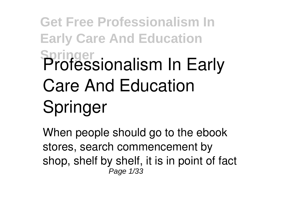## **Get Free Professionalism In Early Care And Education Springer Professionalism In Early Care And Education Springer**

When people should go to the ebook stores, search commencement by shop, shelf by shelf, it is in point of fact Page 1/33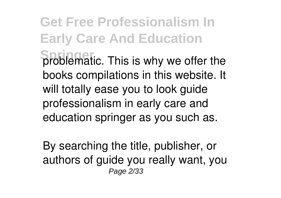**Get Free Professionalism In Early Care And Education Sproblematic.** This is why we offer the books compilations in this website. It will totally ease you to look guide **professionalism in early care and education springer** as you such as.

By searching the title, publisher, or authors of guide you really want, you Page 2/33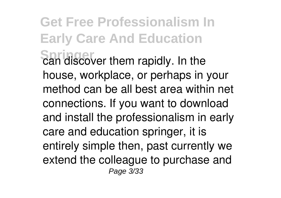**Get Free Professionalism In Early Care And Education Springer** can discover them rapidly. In the house, workplace, or perhaps in your method can be all best area within net connections. If you want to download and install the professionalism in early care and education springer, it is entirely simple then, past currently we extend the colleague to purchase and Page 3/33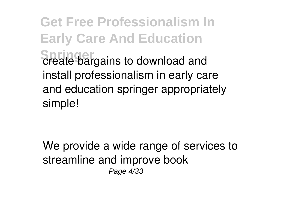**Get Free Professionalism In Early Care And Education Spreate bargains to download and** install professionalism in early care and education springer appropriately simple!

We provide a wide range of services to streamline and improve book Page 4/33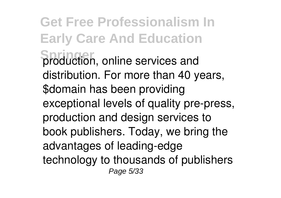**Get Free Professionalism In Early Care And Education Springer** production, online services and distribution. For more than 40 years, \$domain has been providing exceptional levels of quality pre-press, production and design services to book publishers. Today, we bring the advantages of leading-edge technology to thousands of publishers Page 5/33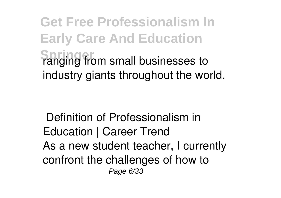**Get Free Professionalism In Early Care And Education Spring from small businesses to** industry giants throughout the world.

**Definition of Professionalism in Education | Career Trend** As a new student teacher, I currently confront the challenges of how to Page 6/33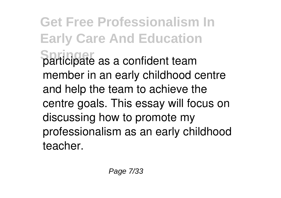**Get Free Professionalism In Early Care And Education Springer** participate as a confident team member in an early childhood centre and help the team to achieve the centre goals. This essay will focus on discussing how to promote my professionalism as an early childhood teacher.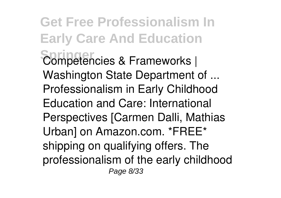**Get Free Professionalism In Early Care And Education Springer Competencies & Frameworks | Washington State Department of ...** Professionalism in Early Childhood Education and Care: International Perspectives [Carmen Dalli, Mathias Urban] on Amazon.com. \*FREE\* shipping on qualifying offers. The professionalism of the early childhood Page 8/33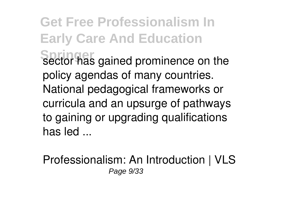**Get Free Professionalism In Early Care And Education Sector has gained prominence on the** policy agendas of many countries. National pedagogical frameworks or curricula and an upsurge of pathways to gaining or upgrading qualifications has led ...

**Professionalism: An Introduction | VLS** Page 9/33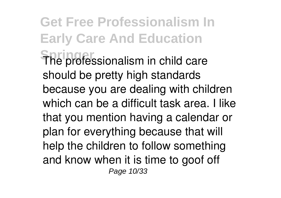**Get Free Professionalism In Early Care And Education** The professionalism in child care should be pretty high standards because you are dealing with children which can be a difficult task area. I like that you mention having a calendar or plan for everything because that will help the children to follow something and know when it is time to goof off Page 10/33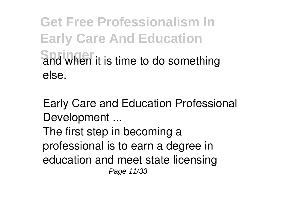**Get Free Professionalism In Early Care And Education Springer** and when it is time to do something else.

**Early Care and Education Professional Development ...**

The first step in becoming a professional is to earn a degree in education and meet state licensing Page 11/33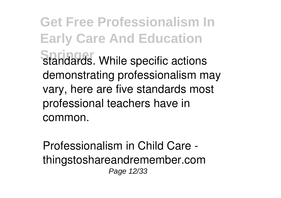**Get Free Professionalism In Early Care And Education Standards. While specific actions** demonstrating professionalism may vary, here are five standards most professional teachers have in common.

**Professionalism in Child Care thingstoshareandremember.com** Page 12/33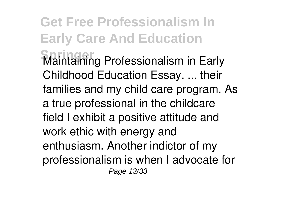**Get Free Professionalism In Early Care And Education Springer** Maintaining Professionalism in Early Childhood Education Essay. ... their families and my child care program. As a true professional in the childcare field I exhibit a positive attitude and work ethic with energy and enthusiasm. Another indictor of my professionalism is when I advocate for Page 13/33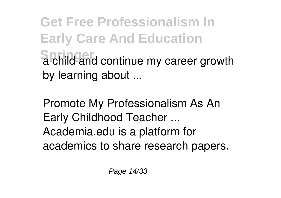**Get Free Professionalism In Early Care And Education Springer** a child and continue my career growth by learning about ...

**Promote My Professionalism As An Early Childhood Teacher ...** Academia.edu is a platform for academics to share research papers.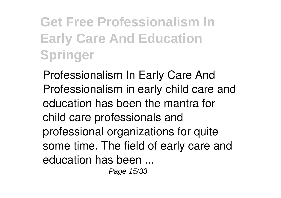**Get Free Professionalism In Early Care And Education Springer**

**Professionalism In Early Care And** Professionalism in early child care and education has been the mantra for child care professionals and professional organizations for quite some time. The field of early care and education has been ...

Page 15/33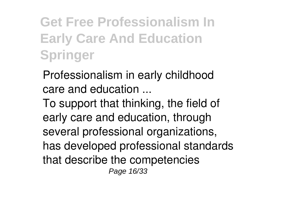**Get Free Professionalism In Early Care And Education Springer**

**Professionalism in early childhood care and education ...**

To support that thinking, the field of early care and education, through several professional organizations, has developed professional standards that describe the competencies Page 16/33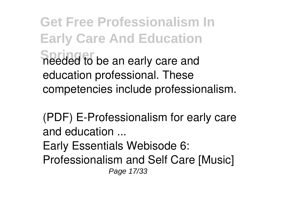**Get Free Professionalism In Early Care And Education Springer to be an early care and** education professional. These competencies include professionalism.

**(PDF) E-Professionalism for early care and education ...**

Early Essentials Webisode 6:

Professionalism and Self Care [Music] Page 17/33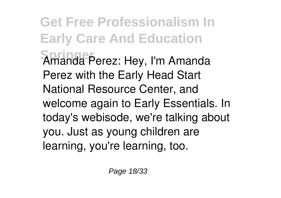**Get Free Professionalism In Early Care And Education Springer** Amanda Perez: Hey, I'm Amanda Perez with the Early Head Start National Resource Center, and welcome again to Early Essentials. In today's webisode, we're talking about you. Just as young children are learning, you're learning, too.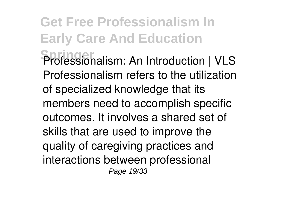**Get Free Professionalism In Early Care And Education Springer Professionalism: An Introduction | VLS** Professionalism refers to the utilization of specialized knowledge that its members need to accomplish specific outcomes. It involves a shared set of skills that are used to improve the quality of caregiving practices and interactions between professional Page 19/33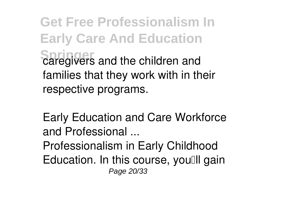**Get Free Professionalism In Early Care And Education Saregivers and the children and** families that they work with in their respective programs.

**Early Education and Care Workforce and Professional ...**

Professionalism in Early Childhood Education. In this course, youll gain Page 20/33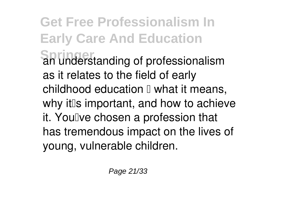## **Get Free Professionalism In Early Care And Education Springer** an understanding of professionalism as it relates to the field of early childhood education  $\mathbb I$  what it means, why it<sup>[</sup>s important, and how to achieve it. You Ive chosen a profession that has tremendous impact on the lives of young, vulnerable children.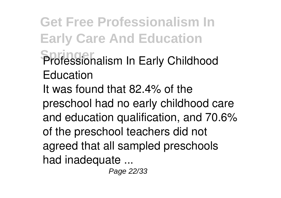**Get Free Professionalism In Early Care And Education Springer Professionalism In Early Childhood Education** It was found that 82.4% of the preschool had no early childhood care and education qualification, and 70.6% of the preschool teachers did not agreed that all sampled preschools had inadequate ...

Page 22/33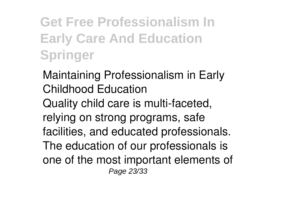**Get Free Professionalism In Early Care And Education Springer**

**Maintaining Professionalism in Early Childhood Education** Quality child care is multi-faceted, relying on strong programs, safe facilities, and educated professionals. The education of our professionals is one of the most important elements of Page 23/33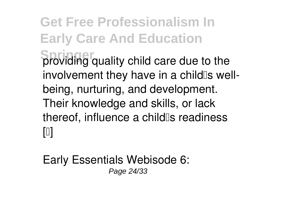**Get Free Professionalism In Early Care And Education Sproviding quality child care due to the** involvement they have in a child<sup>'s</sup> wellbeing, nurturing, and development. Their knowledge and skills, or lack thereof, influence a child<sup>[</sup>s readiness  $\lceil \mathbb{I} \rceil$ 

**Early Essentials Webisode 6:** Page 24/33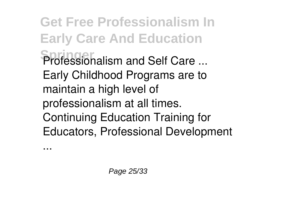**Get Free Professionalism In Early Care And Education Springer Professionalism and Self Care ...** Early Childhood Programs are to maintain a high level of professionalism at all times. Continuing Education Training for Educators, Professional Development

...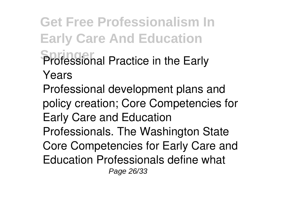**Get Free Professionalism In Early Care And Education Springer Professional Practice in the Early Years** Professional development plans and policy creation; Core Competencies for Early Care and Education Professionals. The Washington State Core Competencies for Early Care and Education Professionals define what Page 26/33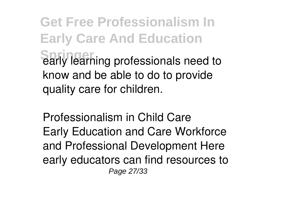**Get Free Professionalism In Early Care And Education Sarly learning professionals need to** know and be able to do to provide quality care for children.

**Professionalism in Child Care** Early Education and Care Workforce and Professional Development Here early educators can find resources to Page 27/33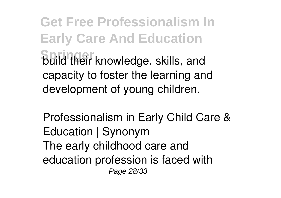**Get Free Professionalism In Early Care And Education Springer** build their knowledge, skills, and capacity to foster the learning and development of young children.

**Professionalism in Early Child Care & Education | Synonym** The early childhood care and education profession is faced with Page 28/33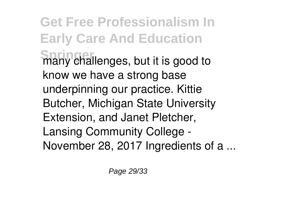**Get Free Professionalism In Early Care And Education Shany challenges, but it is good to** know we have a strong base underpinning our practice. Kittie Butcher, Michigan State University Extension, and Janet Pletcher, Lansing Community College - November 28, 2017 Ingredients of a ...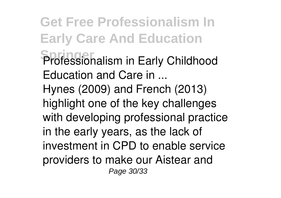**Get Free Professionalism In Early Care And Education Springer Professionalism in Early Childhood Education and Care in ...** Hynes (2009) and French (2013) highlight one of the key challenges with developing professional practice in the early years, as the lack of investment in CPD to enable service providers to make our Aistear and Page 30/33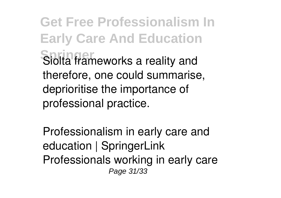**Get Free Professionalism In Early Care And Education** Siolta frameworks a reality and therefore, one could summarise, deprioritise the importance of professional practice.

**Professionalism in early care and education | SpringerLink** Professionals working in early care Page 31/33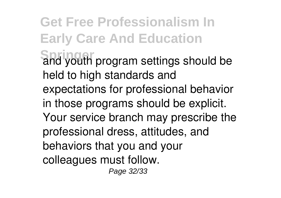**Get Free Professionalism In Early Care And Education Springer** and youth program settings should be held to high standards and expectations for professional behavior in those programs should be explicit. Your service branch may prescribe the professional dress, attitudes, and behaviors that you and your colleagues must follow.

Page 32/33